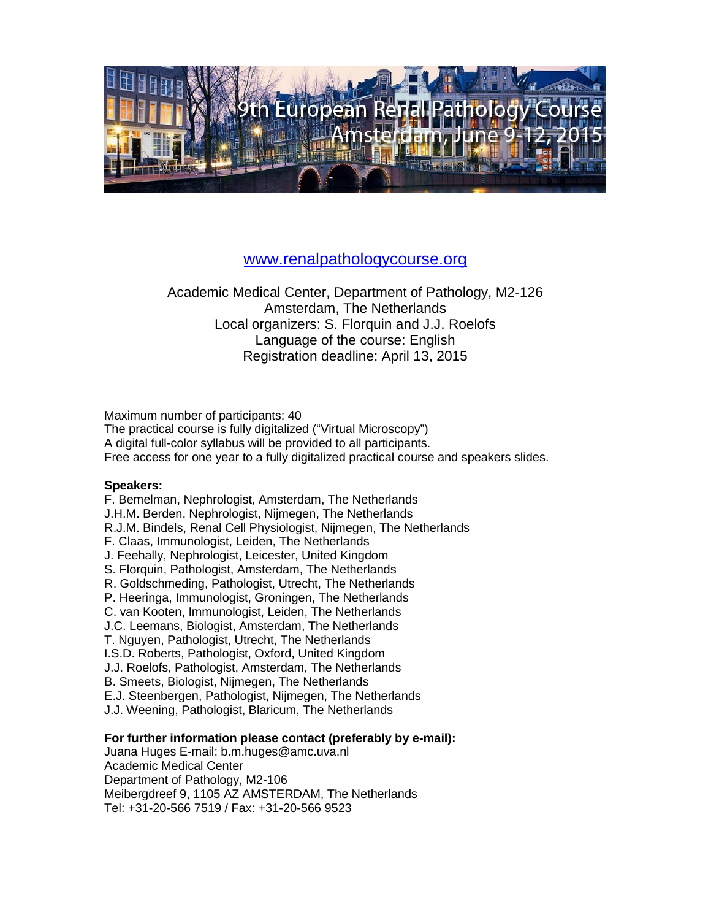

### [www.renalpathologycourse.org](http://www.renalpathologycourse.org/)

Academic Medical Center, Department of Pathology, M2-126 Amsterdam, The Netherlands Local organizers: S. Florquin and J.J. Roelofs Language of the course: English Registration deadline: April 13, 2015

Maximum number of participants: 40

The practical course is fully digitalized ("Virtual Microscopy") A digital full-color syllabus will be provided to all participants. Free access for one year to a fully digitalized practical course and speakers slides.

#### **Speakers:**

F. Bemelman, Nephrologist, Amsterdam, The Netherlands J.H.M. Berden, Nephrologist, Nijmegen, The Netherlands R.J.M. Bindels, Renal Cell Physiologist, Nijmegen, The Netherlands F. Claas, Immunologist, Leiden, The Netherlands J. Feehally, Nephrologist, Leicester, United Kingdom S. Florquin, Pathologist, Amsterdam, The Netherlands R. Goldschmeding, Pathologist, Utrecht, The Netherlands P. Heeringa, Immunologist, Groningen, The Netherlands C. van Kooten, Immunologist, Leiden, The Netherlands J.C. Leemans, Biologist, Amsterdam, The Netherlands T. Nguyen, Pathologist, Utrecht, The Netherlands I.S.D. Roberts, Pathologist, Oxford, United Kingdom J.J. Roelofs, Pathologist, Amsterdam, The Netherlands B. Smeets, Biologist, Nijmegen, The Netherlands E.J. Steenbergen, Pathologist, Nijmegen, The Netherlands J.J. Weening, Pathologist, Blaricum, The Netherlands

#### **For further information please contact (preferably by e-mail):**

Juana Huges E-mail: b.m.huges@amc.uva.nl Academic Medical Center Department of Pathology, M2-106 Meibergdreef 9, 1105 AZ AMSTERDAM, The Netherlands Tel: +31-20-566 7519 / Fax: +31-20-566 9523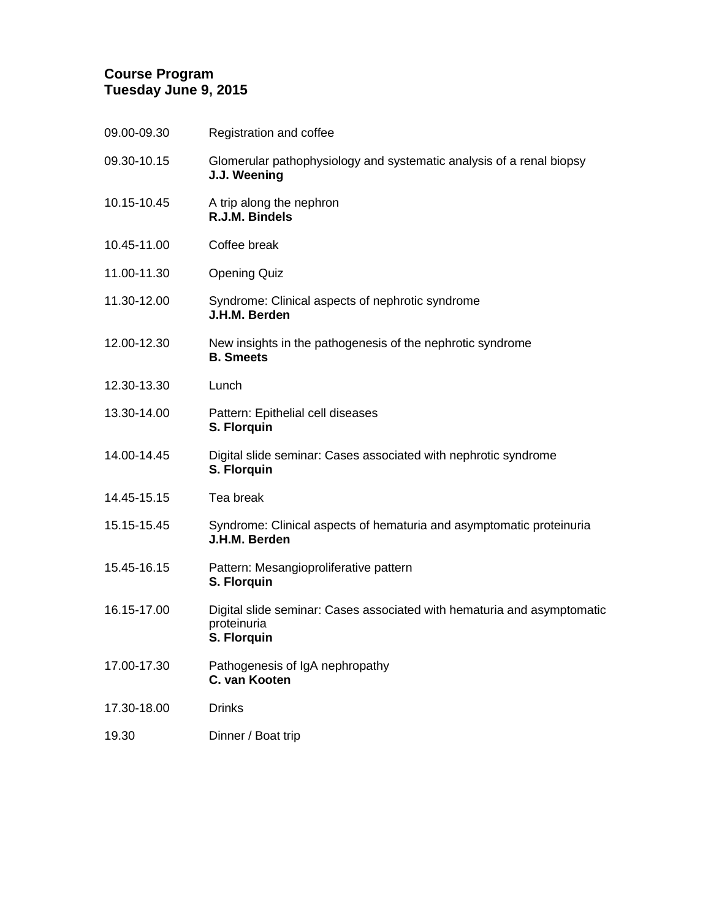## **Course Program Tuesday June 9, 2015**

| 09.00-09.30 | Registration and coffee                                                                               |
|-------------|-------------------------------------------------------------------------------------------------------|
| 09.30-10.15 | Glomerular pathophysiology and systematic analysis of a renal biopsy<br>J.J. Weening                  |
| 10.15-10.45 | A trip along the nephron<br>R.J.M. Bindels                                                            |
| 10.45-11.00 | Coffee break                                                                                          |
| 11.00-11.30 | <b>Opening Quiz</b>                                                                                   |
| 11.30-12.00 | Syndrome: Clinical aspects of nephrotic syndrome<br>J.H.M. Berden                                     |
| 12.00-12.30 | New insights in the pathogenesis of the nephrotic syndrome<br><b>B.</b> Smeets                        |
| 12.30-13.30 | Lunch                                                                                                 |
| 13.30-14.00 | Pattern: Epithelial cell diseases<br>S. Florquin                                                      |
| 14.00-14.45 | Digital slide seminar: Cases associated with nephrotic syndrome<br>S. Florquin                        |
| 14.45-15.15 | Tea break                                                                                             |
| 15.15-15.45 | Syndrome: Clinical aspects of hematuria and asymptomatic proteinuria<br>J.H.M. Berden                 |
| 15.45-16.15 | Pattern: Mesangioproliferative pattern<br>S. Florquin                                                 |
| 16.15-17.00 | Digital slide seminar: Cases associated with hematuria and asymptomatic<br>proteinuria<br>S. Florquin |
| 17.00-17.30 | Pathogenesis of IgA nephropathy<br>C. van Kooten                                                      |
| 17.30-18.00 | <b>Drinks</b>                                                                                         |
| 19.30       | Dinner / Boat trip                                                                                    |
|             |                                                                                                       |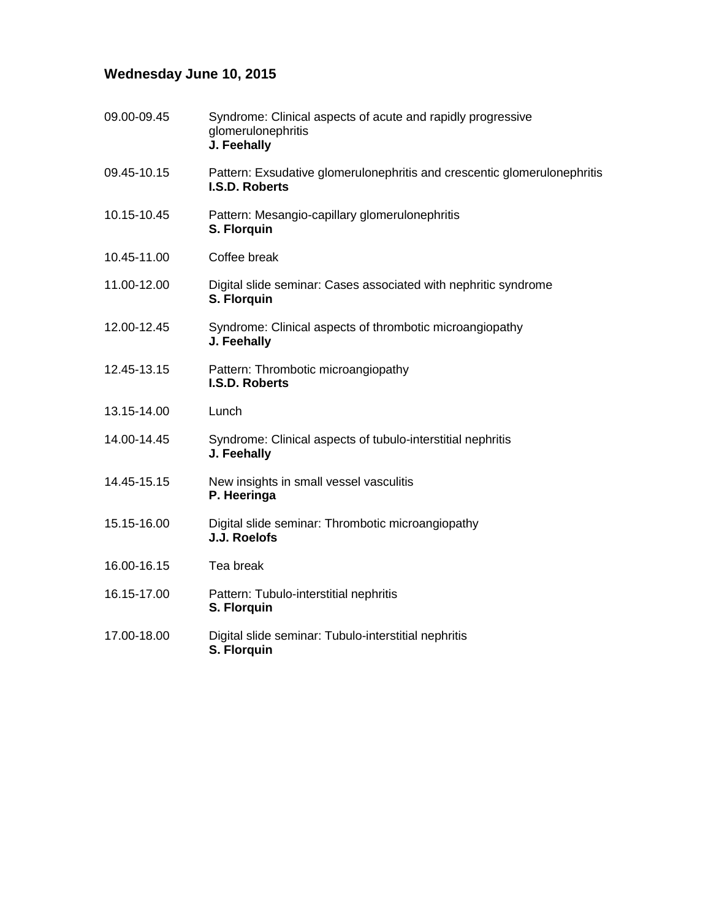# **Wednesday June 10, 2015**

| 09.00-09.45 | Syndrome: Clinical aspects of acute and rapidly progressive<br>glomerulonephritis<br>J. Feehally |
|-------------|--------------------------------------------------------------------------------------------------|
| 09.45-10.15 | Pattern: Exsudative glomerulonephritis and crescentic glomerulonephritis<br>I.S.D. Roberts       |
| 10.15-10.45 | Pattern: Mesangio-capillary glomerulonephritis<br>S. Florquin                                    |
| 10.45-11.00 | Coffee break                                                                                     |
| 11.00-12.00 | Digital slide seminar: Cases associated with nephritic syndrome<br>S. Florquin                   |
| 12.00-12.45 | Syndrome: Clinical aspects of thrombotic microangiopathy<br>J. Feehally                          |
| 12.45-13.15 | Pattern: Thrombotic microangiopathy<br><b>I.S.D. Roberts</b>                                     |
| 13.15-14.00 | Lunch                                                                                            |
| 14.00-14.45 | Syndrome: Clinical aspects of tubulo-interstitial nephritis<br>J. Feehally                       |
| 14.45-15.15 | New insights in small vessel vasculitis<br>P. Heeringa                                           |
| 15.15-16.00 | Digital slide seminar: Thrombotic microangiopathy<br>J.J. Roelofs                                |
| 16.00-16.15 | Tea break                                                                                        |
| 16.15-17.00 | Pattern: Tubulo-interstitial nephritis<br>S. Florquin                                            |
| 17.00-18.00 | Digital slide seminar: Tubulo-interstitial nephritis<br>S. Florquin                              |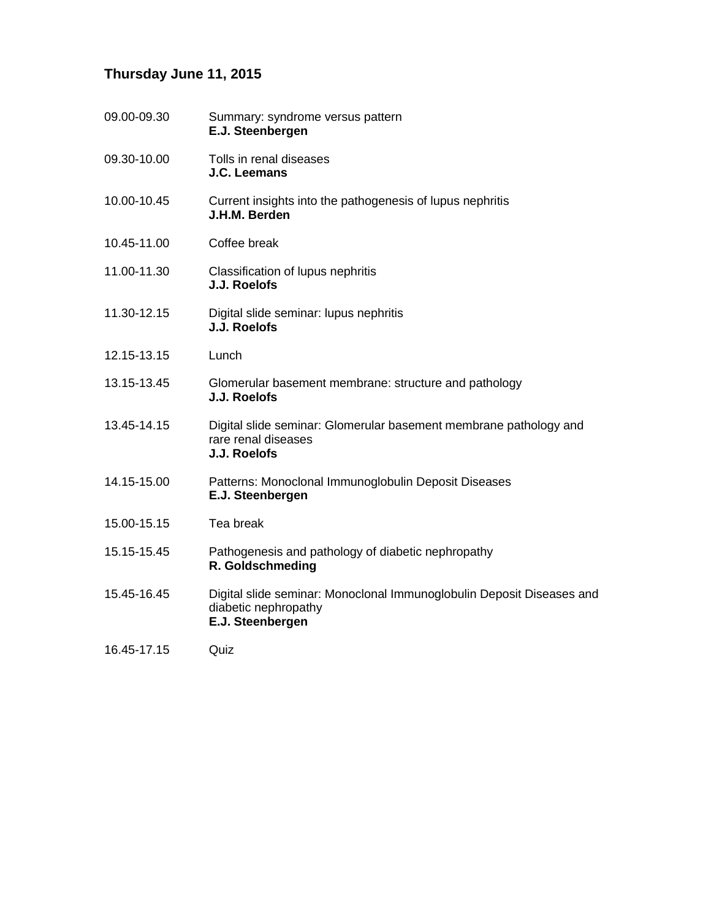# **Thursday June 11, 2015**

| 09.00-09.30 | Summary: syndrome versus pattern<br>E.J. Steenbergen                                                              |
|-------------|-------------------------------------------------------------------------------------------------------------------|
| 09.30-10.00 | Tolls in renal diseases<br>J.C. Leemans                                                                           |
| 10.00-10.45 | Current insights into the pathogenesis of lupus nephritis<br>J.H.M. Berden                                        |
| 10.45-11.00 | Coffee break                                                                                                      |
| 11.00-11.30 | Classification of lupus nephritis<br>J.J. Roelofs                                                                 |
| 11.30-12.15 | Digital slide seminar: lupus nephritis<br>J.J. Roelofs                                                            |
| 12.15-13.15 | Lunch                                                                                                             |
| 13.15-13.45 | Glomerular basement membrane: structure and pathology<br>J.J. Roelofs                                             |
| 13.45-14.15 | Digital slide seminar: Glomerular basement membrane pathology and<br>rare renal diseases<br>J.J. Roelofs          |
| 14.15-15.00 | Patterns: Monoclonal Immunoglobulin Deposit Diseases<br>E.J. Steenbergen                                          |
| 15.00-15.15 | Tea break                                                                                                         |
| 15.15-15.45 | Pathogenesis and pathology of diabetic nephropathy<br>R. Goldschmeding                                            |
| 15.45-16.45 | Digital slide seminar: Monoclonal Immunoglobulin Deposit Diseases and<br>diabetic nephropathy<br>E.J. Steenbergen |
| 16.45-17.15 | Quiz                                                                                                              |